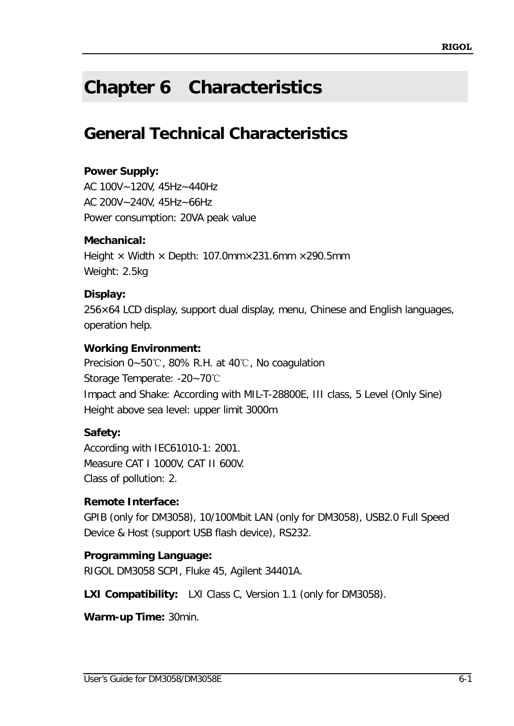# **Chapter 6 Characteristics**

## **General Technical Characteristics**

### **Power Supply:**

AC 100V~120V, 45Hz~440Hz AC 200V~240V, 45Hz~66Hz Power consumption: 20VA peak value

### **Mechanical:**

Height  $\times$  Width  $\times$  Depth: 107.0mm $\times$ 231.6mm  $\times$ 290.5mm Weight: 2.5kg

### **Display:**

256×64 LCD display, support dual display, menu, Chinese and English languages, operation help.

### **Working Environment:**

Precision 0~50℃, 80% R.H. at 40℃, No coagulation Storage Temperate: -20~70℃ Impact and Shake: According with MIL-T-28800E, III class, 5 Level (Only Sine) Height above sea level: upper limit 3000m

## **Safety:**

According with IEC61010-1: 2001. Measure CAT I 1000V, CAT II 600V. Class of pollution: 2.

### **Remote Interface:**

GPIB (only for DM3058), 10/100Mbit LAN (only for DM3058), USB2.0 Full Speed Device & Host (support USB flash device), RS232.

## **Programming Language:**

RIGOL DM3058 SCPI, Fluke 45, Agilent 34401A.

**LXI Compatibility:** LXI Class C, Version 1.1 (only for DM3058).

**Warm-up Time:** 30min.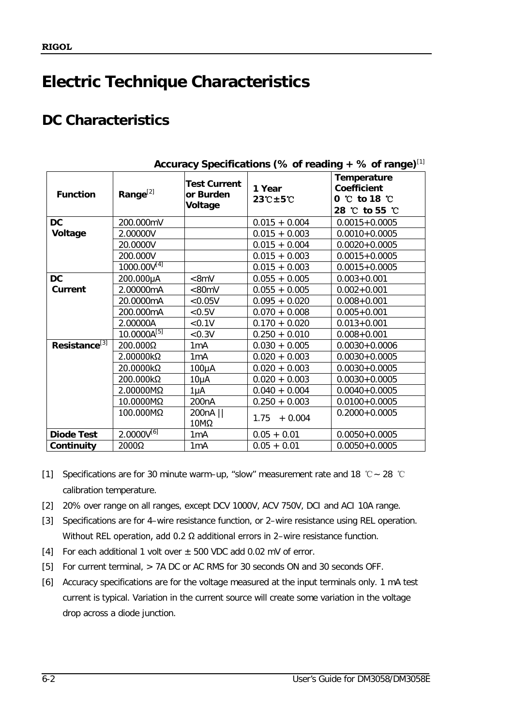## **Electric Technique Characteristics**

## **DC Characteristics**

| <b>Function</b>           | Range <sup>[2]</sup> | <b>Test Current</b><br>or Burden<br>Voltage | 1 Year<br>$23^\circ$ C $\pm$ 5 $\circ$ | Temperature<br><b>Coefficient</b><br>$0 \, ^\circ\,$ to 18 $^{\circ}\,$<br>28 ℃ to 55 ℃ |
|---------------------------|----------------------|---------------------------------------------|----------------------------------------|-----------------------------------------------------------------------------------------|
| <b>DC</b>                 | 200.000mV            |                                             | $0.015 + 0.004$                        | $0.0015 + 0.0005$                                                                       |
| Voltage                   | 2.00000V             |                                             | $0.015 + 0.003$                        | $0.0010 + 0.0005$                                                                       |
|                           | 20.0000V             |                                             | $0.015 + 0.004$                        | $0.0020 + 0.0005$                                                                       |
|                           | 200.000V             |                                             | $0.015 + 0.003$                        | $0.0015 + 0.0005$                                                                       |
|                           | $1000.00V^{[4]}$     |                                             | $0.015 + 0.003$                        | $0.0015 + 0.0005$                                                                       |
| DC                        | 200.000µA            | <8mV                                        | $0.055 + 0.005$                        | $0.003 + 0.001$                                                                         |
| <b>Current</b>            | 2.00000mA            | < 80 mV                                     | $0.055 + 0.005$                        | $0.002 + 0.001$                                                                         |
|                           | 20.0000mA            | < 0.05V                                     | $0.095 + 0.020$                        | $0.008 + 0.001$                                                                         |
|                           | 200.000mA            | < 0.5V                                      | $0.070 + 0.008$                        | $0.005 + 0.001$                                                                         |
|                           | 2.00000A             | $<0.1V$                                     | $0.170 + 0.020$                        | $0.013 + 0.001$                                                                         |
|                           | $10.0000A^{[5]}$     | < 0.3V                                      | $0.250 + 0.010$                        | $0.008 + 0.001$                                                                         |
| Resistance <sup>[3]</sup> | $200.000\Omega$      | 1 <sub>m</sub> A                            | $0.030 + 0.005$                        | $0.0030 + 0.0006$                                                                       |
|                           | $2.00000k\Omega$     | 1mA                                         | $0.020 + 0.003$                        | $0.0030 + 0.0005$                                                                       |
|                           | 20.0000kΩ            | 100µA                                       | $0.020 + 0.003$                        | $0.0030 + 0.0005$                                                                       |
|                           | 200.000kΩ            | $10\mu$ A                                   | $0.020 + 0.003$                        | $0.0030 + 0.0005$                                                                       |
|                           | 2.00000MΩ            | 1µA                                         | $0.040 + 0.004$                        | $0.0040 + 0.0005$                                                                       |
|                           | 10.0000MΩ            | 200 <sub>n</sub> A                          | $0.250 + 0.003$                        | $0.0100 + 0.0005$                                                                       |
|                           | 100.000MΩ            | 200nA   <br>10MΩ                            | $+0.004$<br>1.75                       | $0.2000 + 0.0005$                                                                       |
| <b>Diode Test</b>         | $2.0000V^{[6]}$      | 1 <sub>m</sub> A                            | $0.05 + 0.01$                          | $0.0050 + 0.0005$                                                                       |
| Continuity                | 2000Ω                | 1 <sub>m</sub> A                            | $0.05 + 0.01$                          | $0.0050 + 0.0005$                                                                       |

**Accuracy Specifications (% of reading + % of range)**[1]

- [1] Specifications are for 30 minute warm–up, "slow" measurement rate and 18 ℃~ 28 ℃ calibration temperature.
- [2] 20% over range on all ranges, except DCV 1000V, ACV 750V, DCI and ACI 10A range.
- [3] Specifications are for 4–wire resistance function, or 2–wire resistance using REL operation. Without REL operation, add 0.2 Ω additional errors in 2–wire resistance function.
- [4] For each additional 1 volt over  $\pm$  500 VDC add 0.02 mV of error.
- [5] For current terminal, > 7A DC or AC RMS for 30 seconds ON and 30 seconds OFF.
- [6] Accuracy specifications are for the voltage measured at the input terminals only. 1 mA test current is typical. Variation in the current source will create some variation in the voltage drop across a diode junction.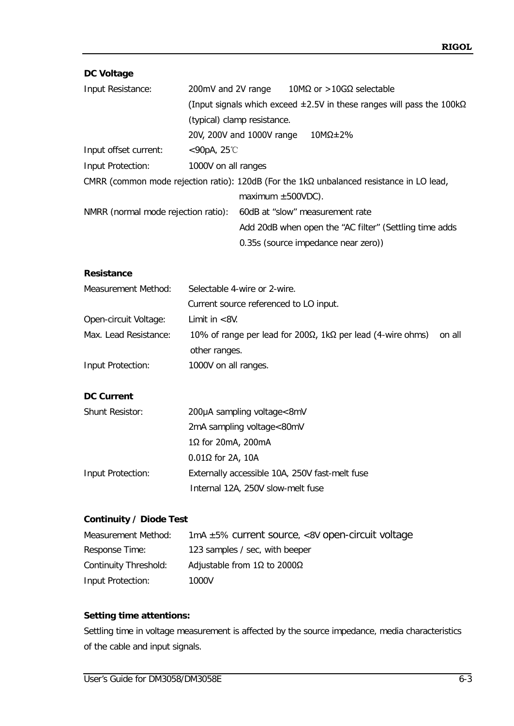#### **DC Voltage**

| Input Resistance:                   | 200mV and 2V range  |                             |  | $10\text{M}\Omega$ or $>$ 10GΩ selectable                                                       |  |
|-------------------------------------|---------------------|-----------------------------|--|-------------------------------------------------------------------------------------------------|--|
|                                     |                     |                             |  | (Input signals which exceed $\pm 2.5V$ in these ranges will pass the 100k $\Omega$              |  |
|                                     |                     | (typical) clamp resistance. |  |                                                                                                 |  |
|                                     |                     | 20V, 200V and 1000V range   |  | $10M\Omega \pm 2\%$                                                                             |  |
| Input offset current:               | $<$ 90pA, 25°C      |                             |  |                                                                                                 |  |
| Input Protection:                   | 1000V on all ranges |                             |  |                                                                                                 |  |
|                                     |                     |                             |  | CMRR (common mode rejection ratio): 120dB (For the $1k\Omega$ unbalanced resistance in LO lead, |  |
|                                     |                     | maximum $\pm 500$ VDC).     |  |                                                                                                 |  |
| NMRR (normal mode rejection ratio): |                     |                             |  | 60dB at "slow" measurement rate                                                                 |  |
|                                     |                     |                             |  | Add 20dB when open the "AC filter" (Settling time adds                                          |  |
|                                     |                     |                             |  | 0.35s (source impedance near zero))                                                             |  |

#### **Resistance**

| Measurement Method:   | Selectable 4-wire or 2-wire.                               |        |
|-----------------------|------------------------------------------------------------|--------|
|                       | Current source referenced to LO input.                     |        |
| Open-circuit Voltage: | Limit in $< 8V$ .                                          |        |
| Max. Lead Resistance: | 10% of range per lead for 200Ω, 1kΩ per lead (4-wire ohms) | on all |
|                       | other ranges.                                              |        |
| Input Protection:     | 1000V on all ranges.                                       |        |

#### **DC Current**

| <b>Shunt Resistor:</b> | 200µA sampling voltage<8mV                     |
|------------------------|------------------------------------------------|
|                        | 2mA sampling voltage<80mV                      |
|                        | $1\Omega$ for 20mA, 200mA                      |
|                        | $0.01\Omega$ for 2A, 10A                       |
| Input Protection:      | Externally accessible 10A, 250V fast-melt fuse |
|                        | Internal 12A, 250V slow-melt fuse              |

#### **Continuity / Diode Test**

| Measurement Method:   | $1mA \pm 5\%$ current source, <8V open-circuit voltage |
|-----------------------|--------------------------------------------------------|
| Response Time:        | 123 samples / sec, with beeper                         |
| Continuity Threshold: | Adjustable from 1Ω to 2000Ω                            |
| Input Protection:     | 1000V                                                  |

#### **Setting time attentions:**

Settling time in voltage measurement is affected by the source impedance, media characteristics of the cable and input signals.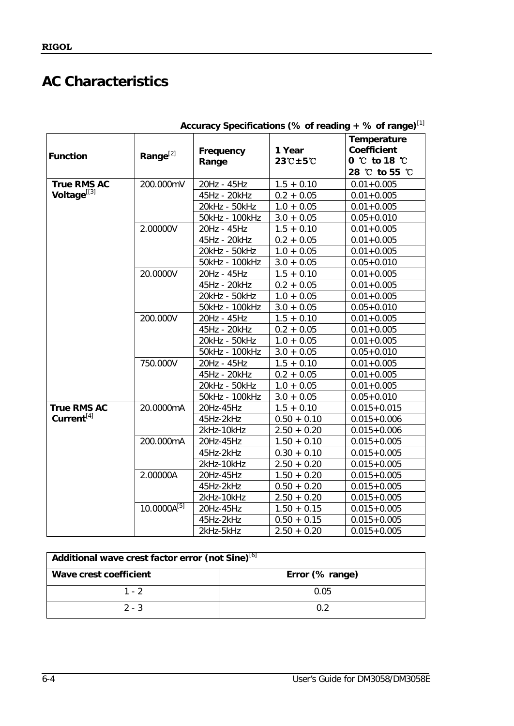## **AC Characteristics**

|                        |                      |                               |                          | Accuracy specifications (% of reading $+$ % of range) |
|------------------------|----------------------|-------------------------------|--------------------------|-------------------------------------------------------|
|                        |                      | Frequency                     | 1 Year                   | Temperature<br><b>Coefficient</b>                     |
| <b>Function</b>        | Range <sup>[2]</sup> | Range                         | $23^\circ C + 5^\circ C$ | $0^{\circ}$ to 18 $^{\circ}$ C                        |
|                        |                      |                               |                          | 28 °C to 55 °C                                        |
| True RMS AC            | 200.000mV            | 20Hz - 45Hz                   | $1.5 + 0.10$             | $0.01 + 0.005$                                        |
| Voltage[[3]            |                      | 45Hz - 20kHz                  | $0.2 + 0.05$             | $0.01 + 0.005$                                        |
|                        |                      | 20kHz - 50kHz                 | $1.0 + 0.05$             | $0.01 + 0.005$                                        |
|                        |                      | 50kHz - 100kHz                | $3.0 + 0.05$             | $0.05 + 0.010$                                        |
|                        | 2.00000V             | 20Hz - 45Hz                   | $1.5 + 0.10$             | $0.01 + 0.005$                                        |
|                        |                      | 45Hz - 20kHz                  | $0.2 + 0.05$             | $0.01 + 0.005$                                        |
|                        |                      | 20kHz - 50kHz                 | $1.0 + 0.05$             | $0.01 + 0.005$                                        |
|                        |                      | 50kHz - 100kHz                | $3.0 + 0.05$             | $0.05 + 0.010$                                        |
|                        | 20.0000V             | 20Hz - 45Hz                   | $1.5 + 0.10$             | $0.01 + 0.005$                                        |
|                        |                      | 45Hz - 20kHz                  | $0.2 + 0.05$             | $0.01 + 0.005$                                        |
|                        |                      | 20kHz - 50kHz                 | $1.0 + 0.05$             | $0.01 + 0.005$                                        |
|                        |                      |                               |                          |                                                       |
|                        | 200.000V             | 50kHz - 100kHz<br>20Hz - 45Hz | $3.0 + 0.05$             | $0.05 + 0.010$                                        |
|                        |                      |                               | $1.5 + 0.10$             | $0.01 + 0.005$                                        |
|                        |                      | 45Hz - 20kHz                  | $0.2 + 0.05$             | $0.01 + 0.005$                                        |
|                        |                      | 20kHz - 50kHz                 | $1.0 + 0.05$             | $0.01 + 0.005$                                        |
|                        |                      | 50kHz - 100kHz                | $3.0 + 0.05$             | $0.05 + 0.010$                                        |
|                        | 750.000V             | 20Hz - 45Hz                   | $1.5 + 0.10$             | $0.01 + 0.005$                                        |
|                        |                      | 45Hz - 20kHz                  | $0.2 + 0.05$             | $0.01 + 0.005$                                        |
|                        |                      | 20kHz - 50kHz                 | $1.0 + 0.05$             | $0.01 + 0.005$                                        |
|                        |                      | 50kHz - 100kHz                | $3.0 + 0.05$             | $0.05 + 0.010$                                        |
| <b>True RMS AC</b>     | 20.0000mA            | 20Hz-45Hz                     | $1.5 + 0.10$             | $0.015 + 0.015$                                       |
| Current <sup>[4]</sup> |                      | 45Hz-2kHz                     | $0.50 + 0.10$            | $0.015 + 0.006$                                       |
|                        |                      | 2kHz-10kHz                    | $2.50 + 0.20$            | $0.015 + 0.006$                                       |
|                        | 200.000mA            | 20Hz-45Hz                     | $1.50 + 0.10$            | $0.015 + 0.005$                                       |
|                        |                      | 45Hz-2kHz                     | $0.30 + 0.10$            | $0.015 + 0.005$                                       |
|                        |                      | 2kHz-10kHz                    | $2.50 + 0.20$            | $0.015 + 0.005$                                       |
|                        | 2.00000A             | 20Hz-45Hz                     | $1.50 + 0.20$            | $0.015 + 0.005$                                       |
|                        |                      | 45Hz-2kHz                     | $0.50 + 0.20$            | $0.015 + 0.005$                                       |
|                        |                      | 2kHz-10kHz                    | $2.50 + 0.20$            | $0.015 + 0.005$                                       |
|                        | $10.0000A^{[5]}$     | 20Hz-45Hz                     | $1.50 + 0.15$            | $0.015 + 0.005$                                       |
|                        |                      | 45Hz-2kHz                     | $0.50 + 0.15$            | $0.015 + 0.005$                                       |
|                        |                      | 2kHz-5kHz                     | $2.50 + 0.20$            | $0.015 + 0.005$                                       |

|  | Accuracy Specifications (% of reading + % of range)[1] |  |
|--|--------------------------------------------------------|--|
|  |                                                        |  |

| Additional wave crest factor error (not Sine) <sup>[6]</sup> |      |  |  |
|--------------------------------------------------------------|------|--|--|
| Error (% range)<br>Wave crest coefficient                    |      |  |  |
| $1 - 2$                                                      | 0.05 |  |  |
| $2 - 3$                                                      | 0 2  |  |  |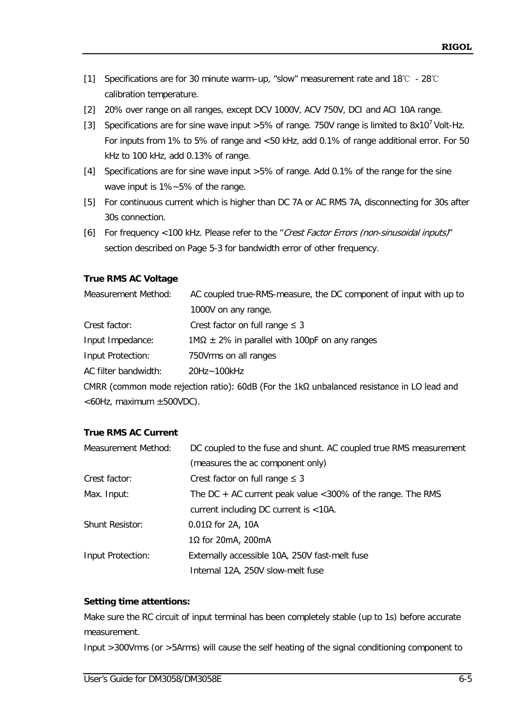- [1] Specifications are for 30 minute warm–up, "slow" measurement rate and 18℃ 28℃ calibration temperature.
- [2] 20% over range on all ranges, except DCV 1000V, ACV 750V, DCI and ACI 10A range.
- [3] Specifications are for sine wave input >5% of range. 750V range is limited to 8x10<sup>7</sup> Volt-Hz. For inputs from 1% to 5% of range and <50 kHz, add 0.1% of range additional error. For 50 kHz to 100 kHz, add 0.13% of range.
- [4] Specifications are for sine wave input >5% of range. Add 0.1% of the range for the sine wave input is 1%~5% of the range.
- [5] For continuous current which is higher than DC 7A or AC RMS 7A, disconnecting for 30s after 30s connection.
- [6] For frequency <100 kHz. Please refer to the "Crest Factor Errors (non-sinusoidal inputs)" section described on Page 5-3 for bandwidth error of other frequency.

#### **True RMS AC Voltage**

| Measurement Method:  | AC coupled true-RMS-measure, the DC component of input with up to |
|----------------------|-------------------------------------------------------------------|
|                      | 1000V on any range.                                               |
| Crest factor:        | Crest factor on full range $\leq$ 3                               |
| Input Impedance:     | $1\text{M}\Omega \pm 2\%$ in parallel with 100pF on any ranges    |
| Input Protection:    | 750Vrms on all ranges                                             |
| AC filter bandwidth: | 20Hz~100kHz                                                       |
|                      |                                                                   |

CMRR (common mode rejection ratio): 60dB (For the 1kΩ unbalanced resistance in LO lead and <60Hz, maximum ±500VDC).

#### **True RMS AC Current**

| Measurement Method:    | DC coupled to the fuse and shunt. AC coupled true RMS measurement |  |  |
|------------------------|-------------------------------------------------------------------|--|--|
|                        | (measures the ac component only)                                  |  |  |
| Crest factor:          | Crest factor on full range $\leq$ 3                               |  |  |
| Max. Input:            | The DC $+$ AC current peak value < 300% of the range. The RMS     |  |  |
|                        | current including DC current is $<$ 10A.                          |  |  |
| <b>Shunt Resistor:</b> | $0.01\Omega$ for 2A, 10A                                          |  |  |
|                        | 1Ω for 20mA, 200mA                                                |  |  |
| Input Protection:      | Externally accessible 10A, 250V fast-melt fuse                    |  |  |
|                        | Internal 12A, 250V slow-melt fuse                                 |  |  |

#### **Setting time attentions:**

Make sure the RC circuit of input terminal has been completely stable (up to 1s) before accurate measurement.

Input >300Vrms (or >5Arms) will cause the self heating of the signal conditioning component to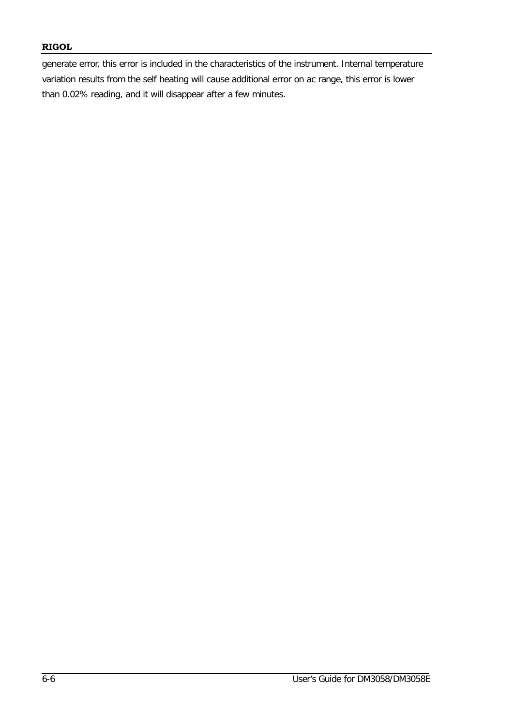#### **RIGOL**

generate error, this error is included in the characteristics of the instrument. Internal temperature variation results from the self heating will cause additional error on ac range, this error is lower than 0.02% reading, and it will disappear after a few minutes.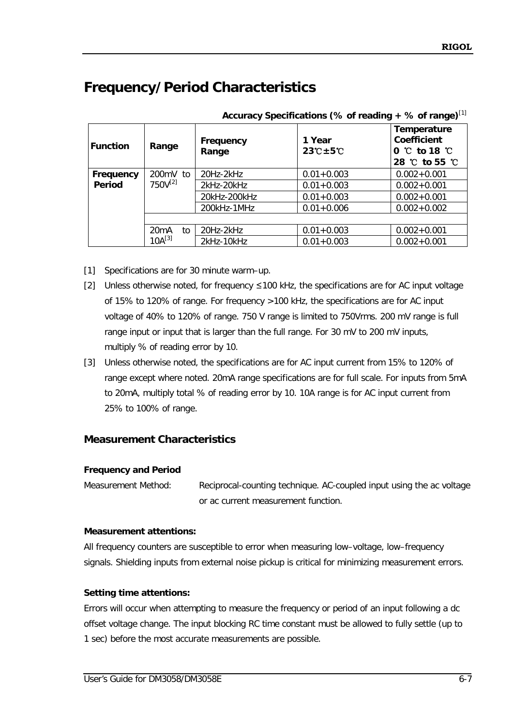## **Frequency/Period Characteristics**

| <b>Function</b> | Range        | Frequency<br>Range | 1 Year<br>$23^\circ$ C $\pm$ 5 $\circ$ C | Temperature<br><b>Coefficient</b><br>$0 \, ^\circ\,$ to 18 $\, ^\circ\,$<br>28 °C to 55 °C |
|-----------------|--------------|--------------------|------------------------------------------|--------------------------------------------------------------------------------------------|
| Frequency       | 200mV to     | 20Hz-2kHz          | $0.01 + 0.003$                           | $0.002 + 0.001$                                                                            |
| Period          | $750V^{[2]}$ | 2kHz-20kHz         | $0.01 + 0.003$                           | $0.002 + 0.001$                                                                            |
|                 |              | 20kHz-200kHz       | $0.01 + 0.003$                           | $0.002 + 0.001$                                                                            |
|                 |              | 200kHz-1MHz        | $0.01 + 0.006$                           | $0.002 + 0.002$                                                                            |
|                 |              |                    |                                          |                                                                                            |
| 20mA<br>to      |              | 20Hz-2kHz          | $0.01 + 0.003$                           | $0.002 + 0.001$                                                                            |
|                 | $10A^{[3]}$  | 2kHz-10kHz         | $0.01 + 0.003$                           | $0.002 + 0.001$                                                                            |

**Accuracy Specifications (% of reading + % of range)**[1]

- [1] Specifications are for 30 minute warm-up.
- [2] Unless otherwise noted, for frequency ≤100 kHz, the specifications are for AC input voltage of 15% to 120% of range. For frequency >100 kHz, the specifications are for AC input voltage of 40% to 120% of range. 750 V range is limited to 750Vrms. 200 mV range is full range input or input that is larger than the full range. For 30 mV to 200 mV inputs, multiply % of reading error by 10.
- [3] Unless otherwise noted, the specifications are for AC input current from 15% to 120% of range except where noted. 20mA range specifications are for full scale. For inputs from 5mA to 20mA, multiply total % of reading error by 10. 10A range is for AC input current from 25% to 100% of range.

#### **Measurement Characteristics**

#### **Frequency and Period**

Measurement Method: Reciprocal-counting technique. AC-coupled input using the ac voltage or ac current measurement function.

#### **Measurement attentions:**

All frequency counters are susceptible to error when measuring low–voltage, low–frequency signals. Shielding inputs from external noise pickup is critical for minimizing measurement errors.

#### **Setting time attentions:**

Errors will occur when attempting to measure the frequency or period of an input following a dc offset voltage change. The input blocking RC time constant must be allowed to fully settle (up to 1 sec) before the most accurate measurements are possible.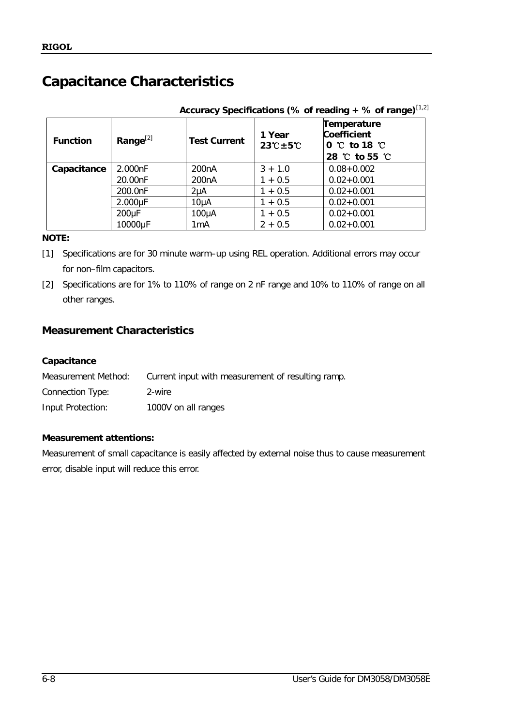## **Capacitance Characteristics**

| Accuracy Specifications (% of reading + % of range) $^{[1,2]}$ |                    |                     |                                      |                                                                              |  |
|----------------------------------------------------------------|--------------------|---------------------|--------------------------------------|------------------------------------------------------------------------------|--|
| <b>Function</b>                                                | Range $^{[2]}$     | <b>Test Current</b> | 1 Year<br>$23^\circ C \pm 5^\circ C$ | Temperature<br>Coefficient<br>$0^{\circ}$ to 18 $^{\circ}$<br>28 °C to 55 °C |  |
| Capacitance                                                    | 2.000nF            | 200 <sub>n</sub> A  | $3 + 1.0$                            | $0.08 + 0.002$                                                               |  |
|                                                                | 20.00nF            | 200 <sub>n</sub> A  | $1 + 0.5$                            | $0.02 + 0.001$                                                               |  |
|                                                                | 200.0nF            | 2µA                 | $1 + 0.5$                            | $0.02 + 0.001$                                                               |  |
|                                                                | $2.000\mu F$       | 10 <sub>µ</sub> A   | $1 + 0.5$                            | $0.02 + 0.001$                                                               |  |
|                                                                | 200 <sub>u</sub> F | $100\mu A$          | $1 + 0.5$                            | $0.02 + 0.001$                                                               |  |
|                                                                | 10000µF            | 1mA                 | $2 + 0.5$                            | $0.02 + 0.001$                                                               |  |

#### **NOTE:**

[1] Specifications are for 30 minute warm–up using REL operation. Additional errors may occur for non–film capacitors.

[2] Specifications are for 1% to 110% of range on 2 nF range and 10% to 110% of range on all other ranges.

### **Measurement Characteristics**

#### **Capacitance**

| Measurement Method: | Current input with measurement of resulting ramp. |
|---------------------|---------------------------------------------------|
| Connection Type:    | 2-wire                                            |
| Input Protection:   | 1000V on all ranges                               |

#### **Measurement attentions:**

Measurement of small capacitance is easily affected by external noise thus to cause measurement error, disable input will reduce this error.